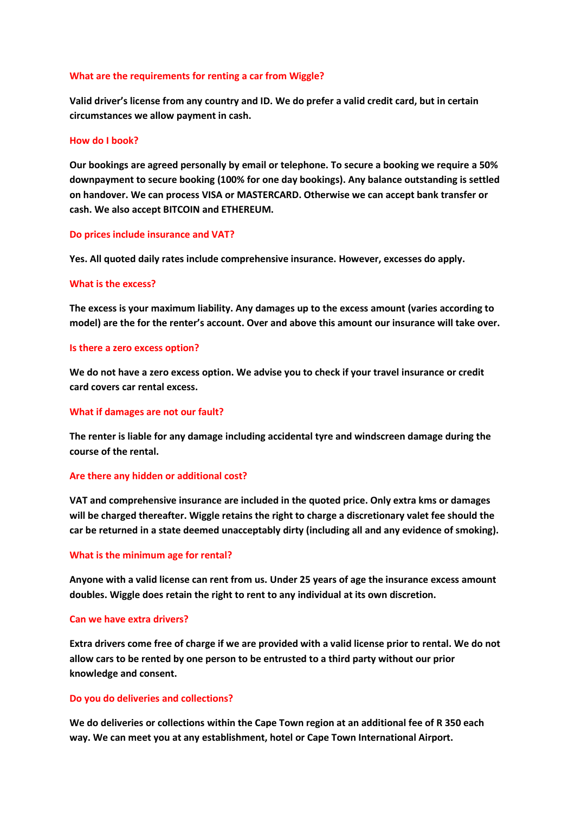## **What are the requirements for renting a car from Wiggle?**

**Valid driver's license from any country and ID. We do prefer a valid credit card, but in certain circumstances we allow payment in cash.**

### **How do I book?**

**Our bookings are agreed personally by email or telephone. To secure a booking we require a 50% downpayment to secure booking (100% for one day bookings). Any balance outstanding is settled on handover. We can process VISA or MASTERCARD. Otherwise we can accept bank transfer or cash. We also accept BITCOIN and ETHEREUM.**

## **Do prices include insurance and VAT?**

**Yes. All quoted daily rates include comprehensive insurance. However, excesses do apply.**

## **What is the excess?**

**The excess is your maximum liability. Any damages up to the excess amount (varies according to model) are the for the renter's account. Over and above this amount our insurance will take over.**

### **Is there a zero excess option?**

**We do not have a zero excess option. We advise you to check if your travel insurance or credit card covers car rental excess.**

## **What if damages are not our fault?**

**The renter is liable for any damage including accidental tyre and windscreen damage during the course of the rental.** 

# **Are there any hidden or additional cost?**

**VAT and comprehensive insurance are included in the quoted price. Only extra kms or damages will be charged thereafter. Wiggle retains the right to charge a discretionary valet fee should the car be returned in a state deemed unacceptably dirty (including all and any evidence of smoking).** 

# **What is the minimum age for rental?**

**Anyone with a valid license can rent from us. Under 25 years of age the insurance excess amount doubles. Wiggle does retain the right to rent to any individual at its own discretion.**

### **Can we have extra drivers?**

**Extra drivers come free of charge if we are provided with a valid license prior to rental. We do not allow cars to be rented by one person to be entrusted to a third party without our prior knowledge and consent.** 

# **Do you do deliveries and collections?**

**We do deliveries or collections within the Cape Town region at an additional fee of R 350 each way. We can meet you at any establishment, hotel or Cape Town International Airport.**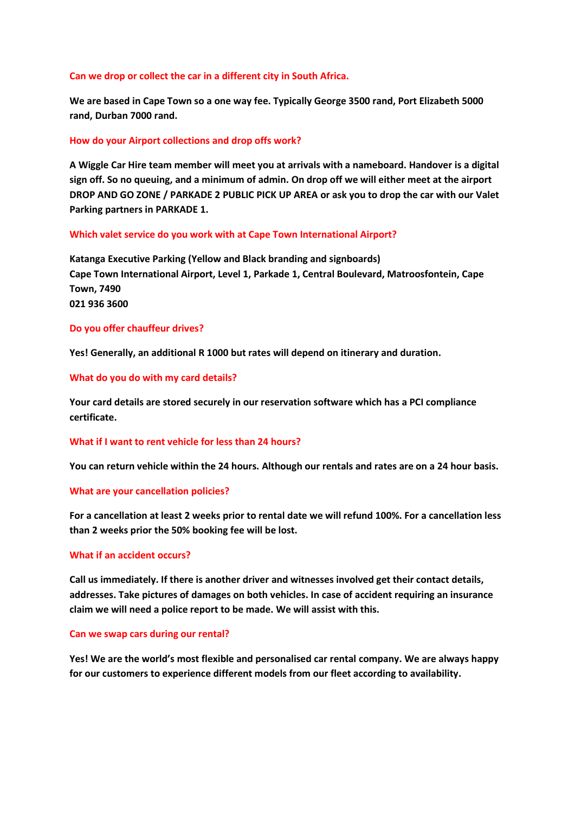## **Can we drop or collect the car in a different city in South Africa.**

**We are based in Cape Town so a one way fee. Typically George 3500 rand, Port Elizabeth 5000 rand, Durban 7000 rand.**

## **How do your Airport collections and drop offs work?**

**A Wiggle Car Hire team member will meet you at arrivals with a nameboard. Handover is a digital sign off. So no queuing, and a minimum of admin. On drop off we will either meet at the airport DROP AND GO ZONE / PARKADE 2 PUBLIC PICK UP AREA or ask you to drop the car with our Valet Parking partners in PARKADE 1.**

## **Which valet service do you work with at Cape Town International Airport?**

**Katanga Executive Parking (Yellow and Black branding and signboards) Cape Town International Airport, Level 1, Parkade 1, Central Boulevard, Matroosfontein, Cape Town, 7490 021 936 3600**

## **Do you offer chauffeur drives?**

**Yes! Generally, an additional R 1000 but rates will depend on itinerary and duration.** 

## **What do you do with my card details?**

**Your card details are stored securely in our reservation software which has a PCI compliance certificate.**

### **What if I want to rent vehicle for less than 24 hours?**

**You can return vehicle within the 24 hours. Although our rentals and rates are on a 24 hour basis.**

# **What are your cancellation policies?**

**For a cancellation at least 2 weeks prior to rental date we will refund 100%. For a cancellation less than 2 weeks prior the 50% booking fee will be lost.** 

### **What if an accident occurs?**

**Call us immediately. If there is another driver and witnesses involved get their contact details, addresses. Take pictures of damages on both vehicles. In case of accident requiring an insurance claim we will need a police report to be made. We will assist with this.** 

### **Can we swap cars during our rental?**

**Yes! We are the world's most flexible and personalised car rental company. We are always happy for our customers to experience different models from our fleet according to availability.**